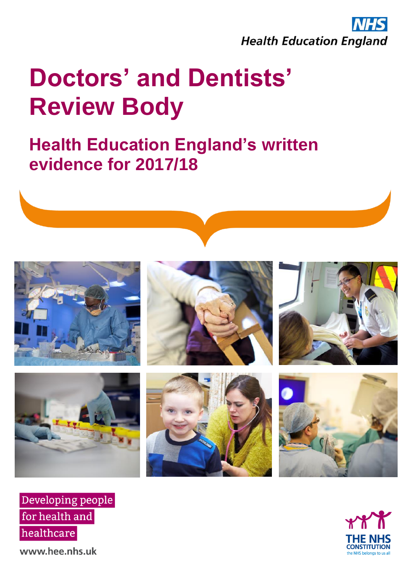

## **Health Education England's written evidence for 2017/18**







www.hee.nhs.uk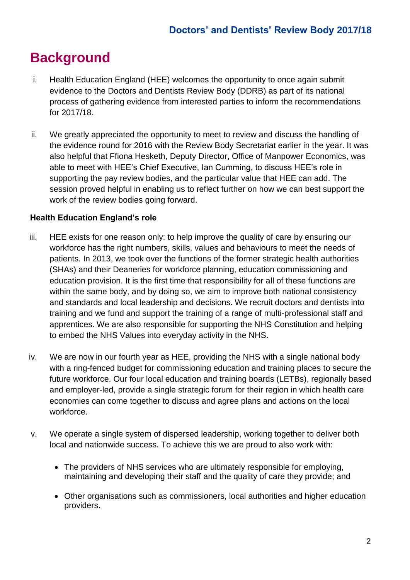## **Background**

- i. Health Education England (HEE) welcomes the opportunity to once again submit evidence to the Doctors and Dentists Review Body (DDRB) as part of its national process of gathering evidence from interested parties to inform the recommendations for 2017/18.
- ii. We greatly appreciated the opportunity to meet to review and discuss the handling of the evidence round for 2016 with the Review Body Secretariat earlier in the year. It was also helpful that Ffiona Hesketh, Deputy Director, Office of Manpower Economics, was able to meet with HEE's Chief Executive, Ian Cumming, to discuss HEE's role in supporting the pay review bodies, and the particular value that HEE can add. The session proved helpful in enabling us to reflect further on how we can best support the work of the review bodies going forward.

## **Health Education England's role**

- iii. HEE exists for one reason only: to help improve the quality of care by ensuring our workforce has the right numbers, skills, values and behaviours to meet the needs of patients. In 2013, we took over the functions of the former strategic health authorities (SHAs) and their Deaneries for workforce planning, education commissioning and education provision. It is the first time that responsibility for all of these functions are within the same body, and by doing so, we aim to improve both national consistency and standards and local leadership and decisions. We recruit doctors and dentists into training and we fund and support the training of a range of multi-professional staff and apprentices. We are also responsible for supporting the NHS Constitution and helping to embed the NHS Values into everyday activity in the NHS.
- iv. We are now in our fourth year as HEE, providing the NHS with a single national body with a ring-fenced budget for commissioning education and training places to secure the future workforce. Our four local education and training boards (LETBs), regionally based and employer-led, provide a single strategic forum for their region in which health care economies can come together to discuss and agree plans and actions on the local workforce.
- v. We operate a single system of dispersed leadership, working together to deliver both local and nationwide success. To achieve this we are proud to also work with:
	- The providers of NHS services who are ultimately responsible for employing, maintaining and developing their staff and the quality of care they provide; and
	- Other organisations such as commissioners, local authorities and higher education providers.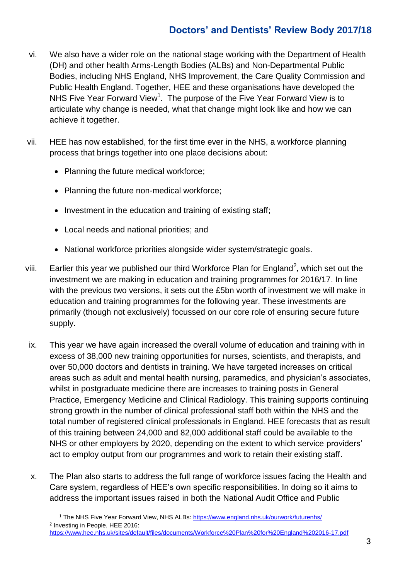- vi. We also have a wider role on the national stage working with the Department of Health (DH) and other health Arms-Length Bodies (ALBs) and Non-Departmental Public Bodies, including NHS England, NHS Improvement, the Care Quality Commission and Public Health England. Together, HEE and these organisations have developed the NHS Five Year Forward View<sup>1</sup>. The purpose of the Five Year Forward View is to articulate why change is needed, what that change might look like and how we can achieve it together.
- vii. HEE has now established, for the first time ever in the NHS, a workforce planning process that brings together into one place decisions about:
	- Planning the future medical workforce;
	- Planning the future non-medical workforce;
	- Investment in the education and training of existing staff;
	- Local needs and national priorities; and

1

- National workforce priorities alongside wider system/strategic goals.
- viii. Earlier this year we published our third Workforce Plan for England<sup>2</sup>, which set out the investment we are making in education and training programmes for 2016/17. In line with the previous two versions, it sets out the £5bn worth of investment we will make in education and training programmes for the following year. These investments are primarily (though not exclusively) focussed on our core role of ensuring secure future supply.
- ix. This year we have again increased the overall volume of education and training with in excess of 38,000 new training opportunities for nurses, scientists, and therapists, and over 50,000 doctors and dentists in training. We have targeted increases on critical areas such as adult and mental health nursing, paramedics, and physician's associates, whilst in postgraduate medicine there are increases to training posts in General Practice, Emergency Medicine and Clinical Radiology. This training supports continuing strong growth in the number of clinical professional staff both within the NHS and the total number of registered clinical professionals in England. HEE forecasts that as result of this training between 24,000 and 82,000 additional staff could be available to the NHS or other employers by 2020, depending on the extent to which service providers' act to employ output from our programmes and work to retain their existing staff.
- x. The Plan also starts to address the full range of workforce issues facing the Health and Care system, regardless of HEE's own specific responsibilities. In doing so it aims to address the important issues raised in both the National Audit Office and Public

<sup>1</sup> The NHS Five Year Forward View, NHS ALBs:<https://www.england.nhs.uk/ourwork/futurenhs/> <sup>2</sup> Investing in People, HEE 2016: <https://www.hee.nhs.uk/sites/default/files/documents/Workforce%20Plan%20for%20England%202016-17.pdf>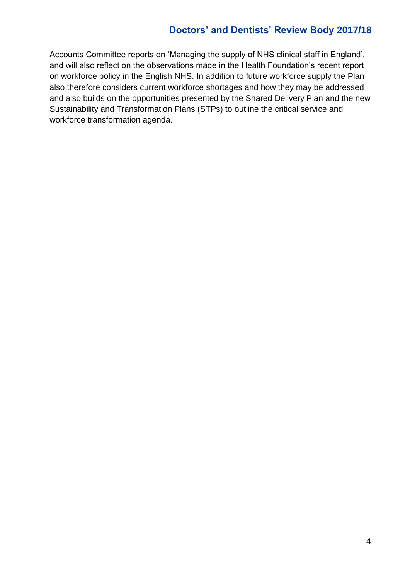Accounts Committee reports on 'Managing the supply of NHS clinical staff in England', and will also reflect on the observations made in the Health Foundation's recent report on workforce policy in the English NHS. In addition to future workforce supply the Plan also therefore considers current workforce shortages and how they may be addressed and also builds on the opportunities presented by the Shared Delivery Plan and the new Sustainability and Transformation Plans (STPs) to outline the critical service and workforce transformation agenda.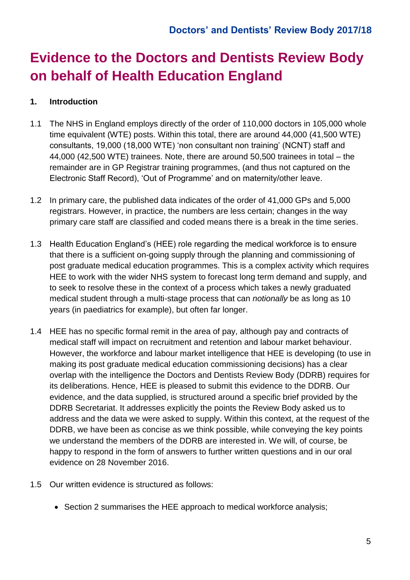## **Evidence to the Doctors and Dentists Review Body on behalf of Health Education England**

## **1. Introduction**

- 1.1 The NHS in England employs directly of the order of 110,000 doctors in 105,000 whole time equivalent (WTE) posts. Within this total, there are around 44,000 (41,500 WTE) consultants, 19,000 (18,000 WTE) 'non consultant non training' (NCNT) staff and 44,000 (42,500 WTE) trainees. Note, there are around 50,500 trainees in total – the remainder are in GP Registrar training programmes, (and thus not captured on the Electronic Staff Record), 'Out of Programme' and on maternity/other leave.
- 1.2 In primary care, the published data indicates of the order of 41,000 GPs and 5,000 registrars. However, in practice, the numbers are less certain; changes in the way primary care staff are classified and coded means there is a break in the time series.
- 1.3 Health Education England's (HEE) role regarding the medical workforce is to ensure that there is a sufficient on-going supply through the planning and commissioning of post graduate medical education programmes. This is a complex activity which requires HEE to work with the wider NHS system to forecast long term demand and supply, and to seek to resolve these in the context of a process which takes a newly graduated medical student through a multi-stage process that can *notionally* be as long as 10 years (in paediatrics for example), but often far longer.
- 1.4 HEE has no specific formal remit in the area of pay, although pay and contracts of medical staff will impact on recruitment and retention and labour market behaviour. However, the workforce and labour market intelligence that HEE is developing (to use in making its post graduate medical education commissioning decisions) has a clear overlap with the intelligence the Doctors and Dentists Review Body (DDRB) requires for its deliberations. Hence, HEE is pleased to submit this evidence to the DDRB. Our evidence, and the data supplied, is structured around a specific brief provided by the DDRB Secretariat. It addresses explicitly the points the Review Body asked us to address and the data we were asked to supply. Within this context, at the request of the DDRB, we have been as concise as we think possible, while conveying the key points we understand the members of the DDRB are interested in. We will, of course, be happy to respond in the form of answers to further written questions and in our oral evidence on 28 November 2016.
- 1.5 Our written evidence is structured as follows:
	- Section 2 summarises the HEE approach to medical workforce analysis;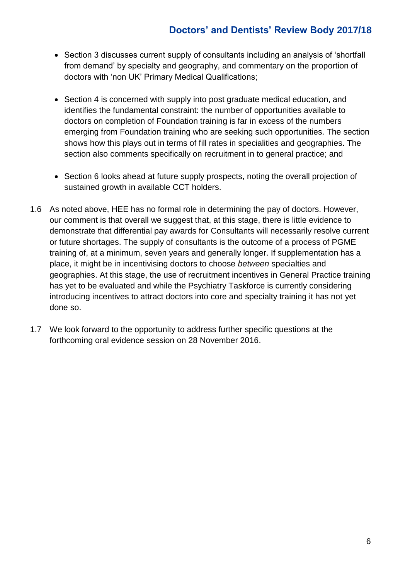- Section 3 discusses current supply of consultants including an analysis of 'shortfall from demand' by specialty and geography, and commentary on the proportion of doctors with 'non UK' Primary Medical Qualifications;
- Section 4 is concerned with supply into post graduate medical education, and identifies the fundamental constraint: the number of opportunities available to doctors on completion of Foundation training is far in excess of the numbers emerging from Foundation training who are seeking such opportunities. The section shows how this plays out in terms of fill rates in specialities and geographies. The section also comments specifically on recruitment in to general practice; and
- Section 6 looks ahead at future supply prospects, noting the overall projection of sustained growth in available CCT holders.
- 1.6 As noted above, HEE has no formal role in determining the pay of doctors. However, our comment is that overall we suggest that, at this stage, there is little evidence to demonstrate that differential pay awards for Consultants will necessarily resolve current or future shortages. The supply of consultants is the outcome of a process of PGME training of, at a minimum, seven years and generally longer. If supplementation has a place, it might be in incentivising doctors to choose *between* specialties and geographies. At this stage, the use of recruitment incentives in General Practice training has yet to be evaluated and while the Psychiatry Taskforce is currently considering introducing incentives to attract doctors into core and specialty training it has not yet done so.
- 1.7 We look forward to the opportunity to address further specific questions at the forthcoming oral evidence session on 28 November 2016.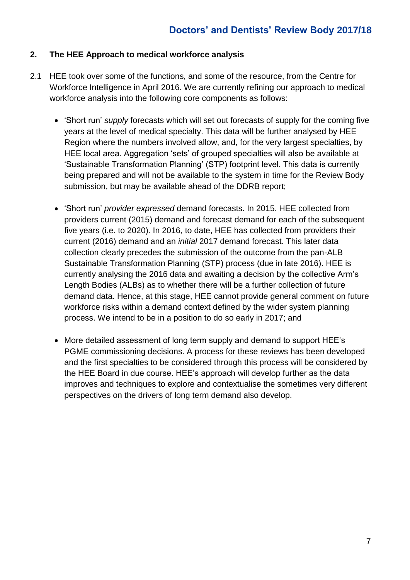## **2. The HEE Approach to medical workforce analysis**

- 2.1 HEE took over some of the functions, and some of the resource, from the Centre for Workforce Intelligence in April 2016. We are currently refining our approach to medical workforce analysis into the following core components as follows:
	- 'Short run' *supply* forecasts which will set out forecasts of supply for the coming five years at the level of medical specialty. This data will be further analysed by HEE Region where the numbers involved allow, and, for the very largest specialties, by HEE local area. Aggregation 'sets' of grouped specialties will also be available at 'Sustainable Transformation Planning' (STP) footprint level. This data is currently being prepared and will not be available to the system in time for the Review Body submission, but may be available ahead of the DDRB report;
	- 'Short run' *provider expressed* demand forecasts. In 2015. HEE collected from providers current (2015) demand and forecast demand for each of the subsequent five years (i.e. to 2020). In 2016, to date, HEE has collected from providers their current (2016) demand and an *initial* 2017 demand forecast. This later data collection clearly precedes the submission of the outcome from the pan-ALB Sustainable Transformation Planning (STP) process (due in late 2016). HEE is currently analysing the 2016 data and awaiting a decision by the collective Arm's Length Bodies (ALBs) as to whether there will be a further collection of future demand data. Hence, at this stage, HEE cannot provide general comment on future workforce risks within a demand context defined by the wider system planning process. We intend to be in a position to do so early in 2017; and
	- More detailed assessment of long term supply and demand to support HEE's PGME commissioning decisions. A process for these reviews has been developed and the first specialties to be considered through this process will be considered by the HEE Board in due course. HEE's approach will develop further as the data improves and techniques to explore and contextualise the sometimes very different perspectives on the drivers of long term demand also develop.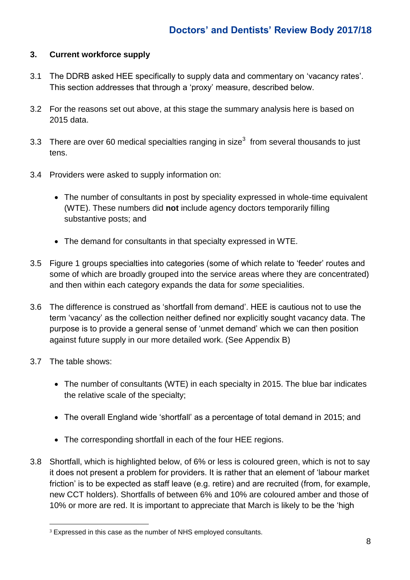## **3. Current workforce supply**

- 3.1 The DDRB asked HEE specifically to supply data and commentary on 'vacancy rates'. This section addresses that through a 'proxy' measure, described below.
- 3.2 For the reasons set out above, at this stage the summary analysis here is based on 2015 data.
- 3.3 There are over 60 medical specialties ranging in size<sup>3</sup> from several thousands to just tens.
- 3.4 Providers were asked to supply information on:
	- The number of consultants in post by speciality expressed in whole-time equivalent (WTE). These numbers did **not** include agency doctors temporarily filling substantive posts; and
	- The demand for consultants in that specialty expressed in WTE.
- 3.5 Figure 1 groups specialties into categories (some of which relate to 'feeder' routes and some of which are broadly grouped into the service areas where they are concentrated) and then within each category expands the data for *some* specialities.
- 3.6 The difference is construed as 'shortfall from demand'. HEE is cautious not to use the term 'vacancy' as the collection neither defined nor explicitly sought vacancy data. The purpose is to provide a general sense of 'unmet demand' which we can then position against future supply in our more detailed work. (See Appendix B)
- 3.7 The table shows:
	- The number of consultants (WTE) in each specialty in 2015. The blue bar indicates the relative scale of the specialty;
	- The overall England wide 'shortfall' as a percentage of total demand in 2015; and
	- The corresponding shortfall in each of the four HEE regions.
- 3.8 Shortfall, which is highlighted below, of 6% or less is coloured green, which is not to say it does not present a problem for providers. It is rather that an element of 'labour market friction' is to be expected as staff leave (e.g. retire) and are recruited (from, for example, new CCT holders). Shortfalls of between 6% and 10% are coloured amber and those of 10% or more are red. It is important to appreciate that March is likely to be the 'high

<sup>1</sup> <sup>3</sup> Expressed in this case as the number of NHS employed consultants.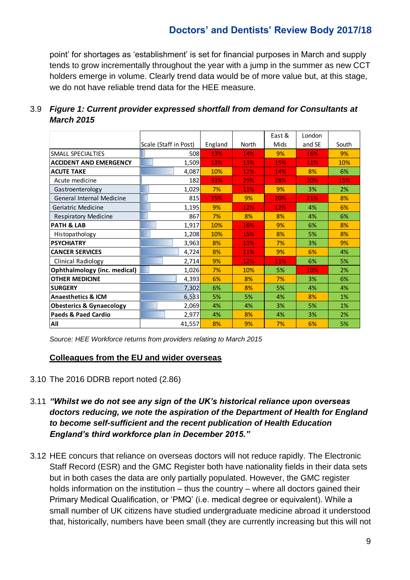point' for shortages as 'establishment' is set for financial purposes in March and supply tends to grow incrementally throughout the year with a jump in the summer as new CCT holders emerge in volume. Clearly trend data would be of more value but, at this stage, we do not have reliable trend data for the HEE measure.

|                                     |                       |                  |     | East & | London |            |  |
|-------------------------------------|-----------------------|------------------|-----|--------|--------|------------|--|
|                                     | Scale (Staff in Post) | England<br>North |     | Mids   | and SE | South      |  |
| SMALL SPECIALTIES                   | 508                   | 13%              | 14% | 9%     | 16%    | 9%         |  |
| <b>ACCIDENT AND EMERGENCY</b>       | 1,509                 | 13%              | 13% | 15%    | 11%    | 10%        |  |
| <b>ACUTE TAKE</b>                   | 4,087                 | 10%              | 12% | 14%    | 8%     | 6%         |  |
| Acute medicine                      | 182                   | 33%              | 29% | 28%    | 20%    | <b>15%</b> |  |
| Gastroenterology                    | 1,029                 | 7%               | 11% | 9%     | 3%     | 2%         |  |
| <b>General Internal Medicine</b>    | 815                   | 15%              | 9%  | 20%    | 21%    | 8%         |  |
| Geriatric Medicine                  | 1,195                 | 9%               | 12% | 12%    | 4%     | 6%         |  |
| <b>Respiratory Medicine</b>         | 867                   | 7%               | 8%  | 8%     | 4%     | 6%         |  |
| <b>PATH &amp; LAB</b>               | 1,917                 | 10%              | 16% | 9%     | 6%     | 8%         |  |
| Histopathology                      | 1,208                 | 10%              | 15% | 8%     | 5%     | 8%         |  |
| <b>PSYCHIATRY</b>                   | 3,963                 | 8%               | 13% | 7%     | 3%     | 9%         |  |
| <b>CANCER SERVICES</b>              | 4,724                 | 8%               | 11% | 9%     | 6%     | 4%         |  |
| Clinical Radiology                  | 2,714                 | 9%               | 12% | 11%    | 6%     | 5%         |  |
| Ophthalmology (inc. medical)        | 1,026                 | 7%               | 10% | 5%     | 10%    | 2%         |  |
| <b>OTHER MEDICINE</b>               | 4,393                 | 6%               | 8%  | 7%     | 3%     | 6%         |  |
| <b>SURGERY</b>                      | 7,302                 | 6%               | 8%  | 5%     | 4%     | 4%         |  |
| <b>Anaesthetics &amp; ICM</b>       | 6,533                 | 5%               | 5%  | 4%     | 8%     | 1%         |  |
| <b>Obesterics &amp; Gynaecology</b> | 2,069                 | 4%               | 4%  | 3%     | 5%     | 1%         |  |
| <b>Paeds &amp; Paed Cardio</b>      | 2,977                 | 4%               | 8%  | 4%     | 3%     | 2%         |  |
| All                                 | 41,557                | 8%               | 9%  | 7%     | 6%     | 5%         |  |

## 3.9 *Figure 1: Current provider expressed shortfall from demand for Consultants at March 2015*

*Source: HEE Workforce returns from providers relating to March 2015* 

#### **Colleagues from the EU and wider overseas**

- 3.10 The 2016 DDRB report noted (2.86)
- 3.11 *"Whilst we do not see any sign of the UK's historical reliance upon overseas doctors reducing, we note the aspiration of the Department of Health for England to become self-sufficient and the recent publication of Health Education England's third workforce plan in December 2015."*
- 3.12 HEE concurs that reliance on overseas doctors will not reduce rapidly. The Electronic Staff Record (ESR) and the GMC Register both have nationality fields in their data sets but in both cases the data are only partially populated. However, the GMC register holds information on the institution – thus the country – where all doctors gained their Primary Medical Qualification, or 'PMQ' (i.e. medical degree or equivalent). While a small number of UK citizens have studied undergraduate medicine abroad it understood that, historically, numbers have been small (they are currently increasing but this will not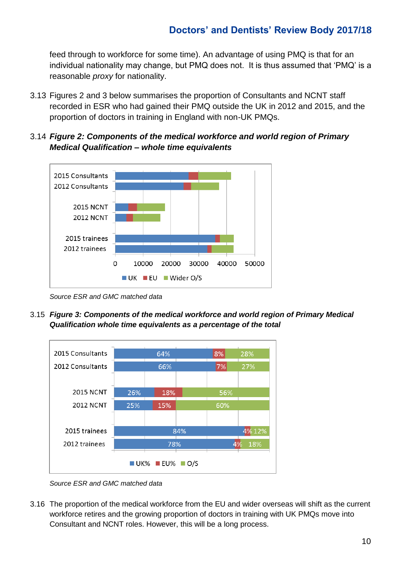feed through to workforce for some time). An advantage of using PMQ is that for an individual nationality may change, but PMQ does not. It is thus assumed that 'PMQ' is a reasonable *proxy* for nationality.

- 3.13 Figures 2 and 3 below summarises the proportion of Consultants and NCNT staff recorded in ESR who had gained their PMQ outside the UK in 2012 and 2015, and the proportion of doctors in training in England with non-UK PMQs.
- 3.14 *Figure 2: Components of the medical workforce and world region of Primary Medical Qualification – whole time equivalents*



*Source ESR and GMC matched data*

3.15 *Figure 3: Components of the medical workforce and world region of Primary Medical Qualification whole time equivalents as a percentage of the total*



*Source ESR and GMC matched data*

3.16 The proportion of the medical workforce from the EU and wider overseas will shift as the current workforce retires and the growing proportion of doctors in training with UK PMQs move into Consultant and NCNT roles. However, this will be a long process.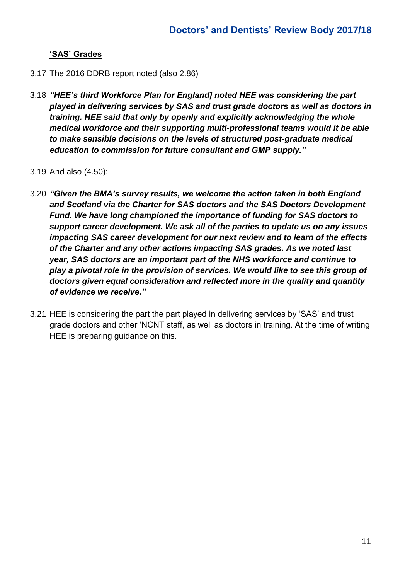## **'SAS' Grades**

- 3.17 The 2016 DDRB report noted (also 2.86)
- 3.18 *"HEE's third Workforce Plan for England] noted HEE was considering the part played in delivering services by SAS and trust grade doctors as well as doctors in training. HEE said that only by openly and explicitly acknowledging the whole medical workforce and their supporting multi-professional teams would it be able to make sensible decisions on the levels of structured post-graduate medical education to commission for future consultant and GMP supply."*
- 3.19 And also (4.50):
- 3.20 *"Given the BMA's survey results, we welcome the action taken in both England and Scotland via the Charter for SAS doctors and the SAS Doctors Development Fund. We have long championed the importance of funding for SAS doctors to support career development. We ask all of the parties to update us on any issues impacting SAS career development for our next review and to learn of the effects of the Charter and any other actions impacting SAS grades. As we noted last year, SAS doctors are an important part of the NHS workforce and continue to play a pivotal role in the provision of services. We would like to see this group of doctors given equal consideration and reflected more in the quality and quantity of evidence we receive."*
- 3.21 HEE is considering the part the part played in delivering services by 'SAS' and trust grade doctors and other 'NCNT staff, as well as doctors in training. At the time of writing HEE is preparing guidance on this.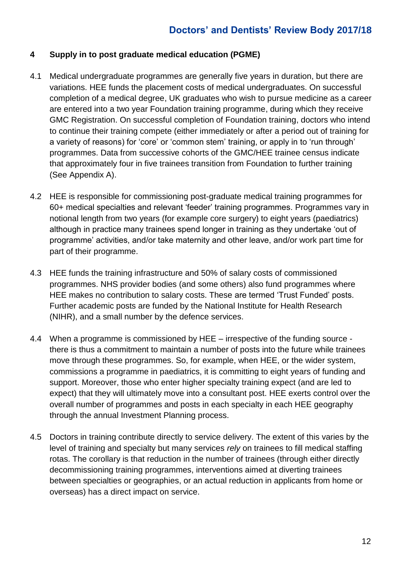## **4 Supply in to post graduate medical education (PGME)**

- 4.1 Medical undergraduate programmes are generally five years in duration, but there are variations. HEE funds the placement costs of medical undergraduates. On successful completion of a medical degree, UK graduates who wish to pursue medicine as a career are entered into a two year Foundation training programme, during which they receive GMC Registration. On successful completion of Foundation training, doctors who intend to continue their training compete (either immediately or after a period out of training for a variety of reasons) for 'core' or 'common stem' training, or apply in to 'run through' programmes. Data from successive cohorts of the GMC/HEE trainee census indicate that approximately four in five trainees transition from Foundation to further training (See Appendix A).
- 4.2 HEE is responsible for commissioning post-graduate medical training programmes for 60+ medical specialties and relevant 'feeder' training programmes. Programmes vary in notional length from two years (for example core surgery) to eight years (paediatrics) although in practice many trainees spend longer in training as they undertake 'out of programme' activities, and/or take maternity and other leave, and/or work part time for part of their programme.
- 4.3 HEE funds the training infrastructure and 50% of salary costs of commissioned programmes. NHS provider bodies (and some others) also fund programmes where HEE makes no contribution to salary costs. These are termed 'Trust Funded' posts. Further academic posts are funded by the National Institute for Health Research (NIHR), and a small number by the defence services.
- 4.4 When a programme is commissioned by HEE irrespective of the funding source there is thus a commitment to maintain a number of posts into the future while trainees move through these programmes. So, for example, when HEE, or the wider system, commissions a programme in paediatrics, it is committing to eight years of funding and support. Moreover, those who enter higher specialty training expect (and are led to expect) that they will ultimately move into a consultant post. HEE exerts control over the overall number of programmes and posts in each specialty in each HEE geography through the annual Investment Planning process.
- 4.5 Doctors in training contribute directly to service delivery. The extent of this varies by the level of training and specialty but many services *rely* on trainees to fill medical staffing rotas. The corollary is that reduction in the number of trainees (through either directly decommissioning training programmes, interventions aimed at diverting trainees between specialties or geographies, or an actual reduction in applicants from home or overseas) has a direct impact on service.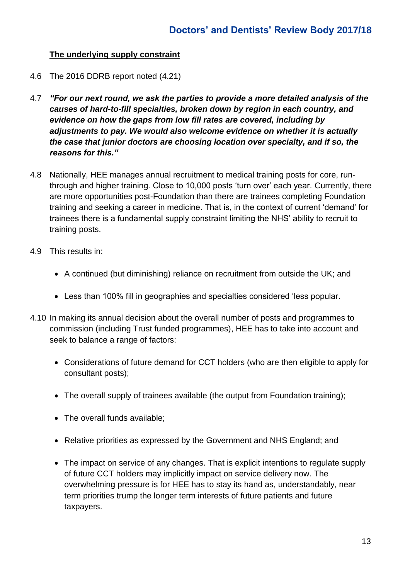## **The underlying supply constraint**

- 4.6 The 2016 DDRB report noted (4.21)
- 4.7 *"For our next round, we ask the parties to provide a more detailed analysis of the causes of hard-to-fill specialties, broken down by region in each country, and evidence on how the gaps from low fill rates are covered, including by adjustments to pay. We would also welcome evidence on whether it is actually the case that junior doctors are choosing location over specialty, and if so, the reasons for this."*
- 4.8 Nationally, HEE manages annual recruitment to medical training posts for core, runthrough and higher training. Close to 10,000 posts 'turn over' each year. Currently, there are more opportunities post-Foundation than there are trainees completing Foundation training and seeking a career in medicine. That is, in the context of current 'demand' for trainees there is a fundamental supply constraint limiting the NHS' ability to recruit to training posts.
- 4.9 This results in:
	- A continued (but diminishing) reliance on recruitment from outside the UK; and
	- Less than 100% fill in geographies and specialties considered 'less popular.
- 4.10 In making its annual decision about the overall number of posts and programmes to commission (including Trust funded programmes), HEE has to take into account and seek to balance a range of factors:
	- Considerations of future demand for CCT holders (who are then eligible to apply for consultant posts);
	- The overall supply of trainees available (the output from Foundation training);
	- The overall funds available;
	- Relative priorities as expressed by the Government and NHS England; and
	- The impact on service of any changes. That is explicit intentions to regulate supply of future CCT holders may implicitly impact on service delivery now. The overwhelming pressure is for HEE has to stay its hand as, understandably, near term priorities trump the longer term interests of future patients and future taxpayers.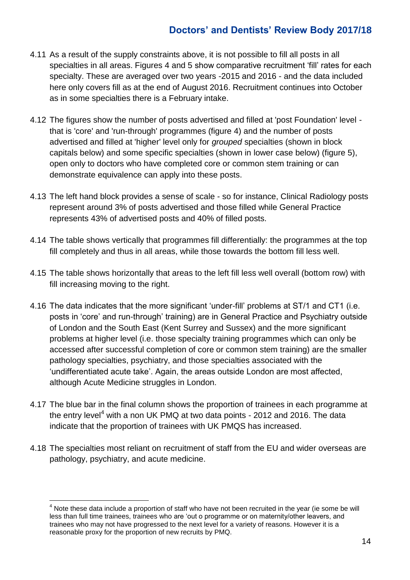- 4.11 As a result of the supply constraints above, it is not possible to fill all posts in all specialties in all areas. Figures 4 and 5 show comparative recruitment 'fill' rates for each specialty. These are averaged over two years -2015 and 2016 - and the data included here only covers fill as at the end of August 2016. Recruitment continues into October as in some specialties there is a February intake.
- 4.12 The figures show the number of posts advertised and filled at 'post Foundation' level that is 'core' and 'run-through' programmes (figure 4) and the number of posts advertised and filled at 'higher' level only for *grouped* specialties (shown in block capitals below) and some specific specialties (shown in lower case below) (figure 5), open only to doctors who have completed core or common stem training or can demonstrate equivalence can apply into these posts.
- 4.13 The left hand block provides a sense of scale so for instance, Clinical Radiology posts represent around 3% of posts advertised and those filled while General Practice represents 43% of advertised posts and 40% of filled posts.
- 4.14 The table shows vertically that programmes fill differentially: the programmes at the top fill completely and thus in all areas, while those towards the bottom fill less well.
- 4.15 The table shows horizontally that areas to the left fill less well overall (bottom row) with fill increasing moving to the right.
- 4.16 The data indicates that the more significant 'under-fill' problems at ST/1 and CT1 (i.e. posts in 'core' and run-through' training) are in General Practice and Psychiatry outside of London and the South East (Kent Surrey and Sussex) and the more significant problems at higher level (i.e. those specialty training programmes which can only be accessed after successful completion of core or common stem training) are the smaller pathology specialties, psychiatry, and those specialties associated with the 'undifferentiated acute take'. Again, the areas outside London are most affected, although Acute Medicine struggles in London.
- 4.17 The blue bar in the final column shows the proportion of trainees in each programme at the entry level<sup>4</sup> with a non UK PMQ at two data points  $-$  2012 and 2016. The data indicate that the proportion of trainees with UK PMQS has increased.
- 4.18 The specialties most reliant on recruitment of staff from the EU and wider overseas are pathology, psychiatry, and acute medicine.

<u>.</u>

 $4$  Note these data include a proportion of staff who have not been recruited in the year (ie some be will less than full time trainees, trainees who are 'out o programme or on maternity/other leavers, and trainees who may not have progressed to the next level for a variety of reasons. However it is a reasonable proxy for the proportion of new recruits by PMQ.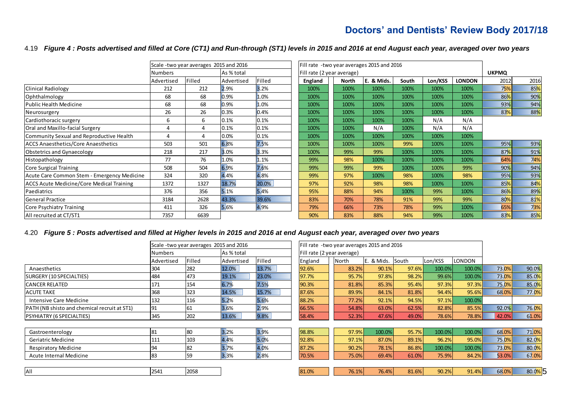#### 4.19 *Figure 4 : Posts advertised and filled at Core (CT1) and Run-through (ST1) levels in 2015 and 2016 at end August each year, averaged over two years*

|                                                  | Scale - two year averages 2015 and 2016 |        |            |        | Fill rate -two year averages 2015 and 2016 |       |              |       |         |               |      |                 |
|--------------------------------------------------|-----------------------------------------|--------|------------|--------|--------------------------------------------|-------|--------------|-------|---------|---------------|------|-----------------|
|                                                  | Numbers                                 |        | As % total |        | Fill rate (2 year average)                 |       | <b>UKPMQ</b> |       |         |               |      |                 |
|                                                  | Advertised                              | Filled | Advertised | Filled | England                                    | North | E. & Mids.   | South | Lon/KSS | <b>LONDON</b> | 2012 | 2016            |
| Clinical Radiology                               | 212                                     | 212    | 2.9%       | 3.2%   | 100%                                       | 100%  | 100%         | 100%  | 100%    | 100%          | 75%  | 85%             |
| Ophthalmology                                    | 68                                      | 68     | 0.9%       | 1.0%   | 100%                                       | 100%  | 100%         | 100%  | 100%    | 100%          | 86%  | 90%             |
| <b>Public Health Medicine</b>                    | 68                                      | 68     | 0.9%       | 1.0%   | 100%                                       | 100%  | 100%         | 100%  | 100%    | 100%          | 93%  | 94%             |
| Neurosurgery                                     | 26                                      | 26     | 0.3%       | 0.4%   | 100%                                       | 100%  | 100%         | 100%  | 100%    | 100%          | 83%  | 88%             |
| Cardiothoracic surgery                           | 6                                       | 6      | 0.1%       | 0.1%   | 100%                                       | 100%  | 100%         | 100%  | N/A     | N/A           |      |                 |
| Oral and Maxillo-facial Surgery                  |                                         |        | 0.1%       | 0.1%   | 100%                                       | 100%  | N/A          | 100%  | N/A     | N/A           |      |                 |
| Community Sexual and Reproductive Health         |                                         | 4      | 0.0%       | 0.1%   | 100%                                       | 100%  | 100%         | 100%  | 100%    | 100%          |      |                 |
| <b>ACCS Anaesthetics/Core Anaesthetics</b>       | 503                                     | 501    | 6.8%       | 7.5%   | 100%                                       | 100%  | 100%         | 99%   | 100%    | 100%          | 95%  | 93%             |
| Obstetrics and Gynaecology                       | 218                                     | 217    | 3.0%       | 3.3%   | 100%                                       | 99%   | 99%          | 100%  | 100%    | 100%          | 87%  | 91%             |
| Histopathology                                   | 77                                      | 76     | 1.0%       | 1.1%   | 99%                                        | 98%   | 100%         | 100%  | 100%    | 100%          | 64%  | 74%             |
| Core Surgical Training                           | 508                                     | 504    | 6.9%       | 7.6%   | 99%                                        | 99%   | 99%          | 100%  | 100%    | 99%           | 90%  | 94%             |
| Acute Care Common Stem - Emergency Medicine      | 324                                     | 320    | 4.4%       | 4.8%   | 99%                                        | 97%   | 100%         | 98%   | 100%    | 98%           | 95%  | 93%             |
| <b>ACCS Acute Medicine/Core Medical Training</b> | 1372                                    | 1327   | 18.7%      | 20.0%  | 97%                                        | 92%   | 98%          | 98%   | 100%    | 100%          | 85%  | 84%             |
| Paediatrics                                      | 376                                     | 356    | 5.1%       | 5.4%   | 95%                                        | 88%   | 94%          | 100%  | 99%     | 100%          | 86%  | 89%             |
| <b>General Practice</b>                          | 3184                                    | 2628   | 43.3%      | 39.6%  | 83%                                        | 70%   | 78%          | 91%   | 99%     | 99%           | 80%  | 81%             |
| Core Psychiatry Training                         | 411                                     | 326    | 5.6%       | 4.9%   | 79%                                        | 66%   | 73%          | 78%   | 99%     | 100%          | 65%  | 73%             |
| All recruited at CT/ST1                          | 7357                                    | 6639   |            |        | 90%                                        | 83%   | 88%          | 94%   | 99%     | 100%          | 83%  | 85 <sup>%</sup> |

#### 4.20 *Figure 5 : Posts advertised and filled at Higher levels in 2015 and 2016 at end August each year, averaged over two years*

|                                                     |            | Scale-two year averages 2015 and 2016 |            |        |         | Fill rate -two year averages 2015 and 2016 |       |               |       |         |        |       |        |
|-----------------------------------------------------|------------|---------------------------------------|------------|--------|---------|--------------------------------------------|-------|---------------|-------|---------|--------|-------|--------|
|                                                     | Numbers    |                                       | As % total |        |         | Fill rate (2 year average)                 |       |               |       |         |        |       |        |
|                                                     | Advertised | Filled                                | Advertised | Filled | England |                                            | North | & Mids. South |       | Lon/KSS | LONDON |       |        |
| Anaesthetics                                        | 304        | 282                                   | 12.0%      | 13.7%  | 92.6%   |                                            | 83.2% | 90.1%         | 97.6% | 100.0%  | 100.0% | 73.0% | 90.0%  |
| SURGERY (10 SPECIALTIES)                            | 484        | 473                                   | 19.1%      | 23.0%  | 97.7%   |                                            | 95.7% | 97.8%         | 98.2% | 99.6%   | 100.0% | 73.0% | 85.0%  |
| <b>CANCER RELATED</b>                               | 171        | 154                                   | 6.7%       | 7.5%   | 90.3%   |                                            | 81.8% | 85.3%         | 95.4% | 97.3%   | 97.3%  | 75.0% | 85.0%  |
| <b>ACUTE TAKE</b>                                   | 368        | 323                                   | 14.5%      | 15.7%  | 87.6%   |                                            | 89.9% | 84.1%         | 81.8% | 94.4%   | 95.6%  | 68.0% | 77.0%  |
| Intensive Care Medicine                             | 132        | 116                                   | 5.2%       | 5.6%   | 88.2%   |                                            | 77.2% | 92.1%         | 94.5% | 97.1%   | 100.0% |       |        |
| <b>PATH (NB shisto and chemical recruit at ST1)</b> | 191        | 61                                    | 3.6%       | 2.9%   | 66.5%   |                                            | 54.8% | 63.0%         | 62.5% | 82.8%   | 85.5%  | 92.0% | 76.0%  |
| <b>PSYHIATRY (6 SPECIALTIES)</b>                    | 345        | 202                                   | 13.6%      | 9.8%   | 58.4%   |                                            | 52.3% | 47.6%         | 49.0% | 78.6%   | 78.8%  | 42.0% | 61.0%  |
|                                                     |            |                                       |            |        |         |                                            |       |               |       |         |        |       |        |
| Gastroenterology                                    | 81         | 80                                    | 3.2%       | 3.9%   | 98.8%   |                                            | 97.9% | 100.0%        | 95.7% | 100.0%  | 100.0% | 68.0% | 71.0%  |
| Geriatric Medicine                                  | 111        | 103                                   | 4.4%       | 5.0%   | 92.8%   |                                            | 97.1% | 87.0%         | 89.1% | 96.2%   | 95.0%  | 75.0% | 82.0%  |
| <b>Respiratory Medicine</b>                         | 94         | 82                                    | 3.7%       | 4.0%   | 87.2%   |                                            | 90.2% | 78.1%         | 86.8% | 100.0%  | 100.0% | 73.0% | 80.0%  |
| Acute Internal Medicine                             | 83         | 59                                    | 3.3%       | 2.8%   | 70.5%   |                                            | 75.0% | 69.4%         | 61.0% | 75.9%   | 84.2%  | 53.0% | 67.0%  |
|                                                     |            |                                       |            |        |         |                                            |       |               |       |         |        |       |        |
| <b>AII</b>                                          | 2541       | 2058                                  |            |        | 81.0%   |                                            | 76.1% | 76.4%         | 81.6% | 90.2%   | 91.4%  | 68.0% | 80.0%5 |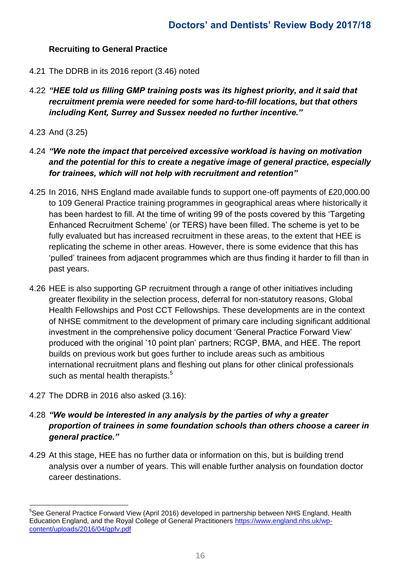## **Recruiting to General Practice**

- 4.21 The DDRB in its 2016 report (3.46) noted
- 4.22 *"HEE told us filling GMP training posts was its highest priority, and it said that recruitment premia were needed for some hard-to-fill locations, but that others including Kent, Surrey and Sussex needed no further incentive."*
- 4.23 And (3.25)
- 4.24 *"We note the impact that perceived excessive workload is having on motivation and the potential for this to create a negative image of general practice, especially for trainees, which will not help with recruitment and retention"*
- 4.25 In 2016, NHS England made available funds to support one-off payments of £20,000.00 to 109 General Practice training programmes in geographical areas where historically it has been hardest to fill. At the time of writing 99 of the posts covered by this 'Targeting Enhanced Recruitment Scheme' (or TERS) have been filled. The scheme is yet to be fully evaluated but has increased recruitment in these areas, to the extent that HEE is replicating the scheme in other areas. However, there is some evidence that this has 'pulled' trainees from adjacent programmes which are thus finding it harder to fill than in past years.
- 4.26 HEE is also supporting GP recruitment through a range of other initiatives including greater flexibility in the selection process, deferral for non-statutory reasons, Global Health Fellowships and Post CCT Fellowships. These developments are in the context of NHSE commitment to the development of primary care including significant additional investment in the comprehensive policy document 'General Practice Forward View' produced with the original '10 point plan' partners; RCGP, BMA, and HEE. The report builds on previous work but goes further to include areas such as ambitious international recruitment plans and fleshing out plans for other clinical professionals such as mental health therapists. $5$
- 4.27 The DDRB in 2016 also asked (3.16):

l

- 4.28 *"We would be interested in any analysis by the parties of why a greater proportion of trainees in some foundation schools than others choose a career in general practice."*
- 4.29 At this stage, HEE has no further data or information on this, but is building trend analysis over a number of years. This will enable further analysis on foundation doctor career destinations.

<sup>&</sup>lt;sup>5</sup>See General Practice Forward View (April 2016) developed in partnership between NHS England, Health Education England, and the Royal College of General Practitioners [https://www.england.nhs.uk/wp](https://www.england.nhs.uk/wp-content/uploads/2016/04/gpfv.pdf)[content/uploads/2016/04/gpfv.pdf](https://www.england.nhs.uk/wp-content/uploads/2016/04/gpfv.pdf)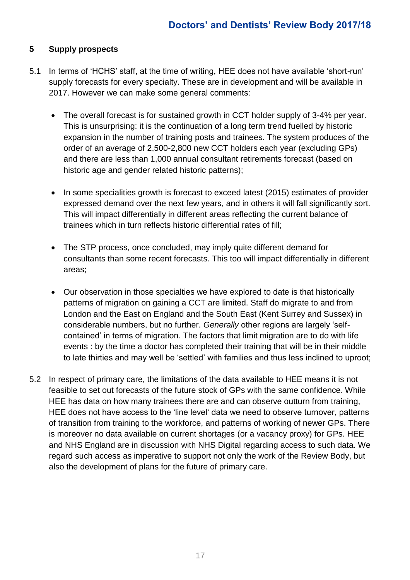## **5 Supply prospects**

- 5.1 In terms of 'HCHS' staff, at the time of writing, HEE does not have available 'short-run' supply forecasts for every specialty. These are in development and will be available in 2017. However we can make some general comments:
	- The overall forecast is for sustained growth in CCT holder supply of 3-4% per year. This is unsurprising: it is the continuation of a long term trend fuelled by historic expansion in the number of training posts and trainees. The system produces of the order of an average of 2,500-2,800 new CCT holders each year (excluding GPs) and there are less than 1,000 annual consultant retirements forecast (based on historic age and gender related historic patterns);
	- In some specialities growth is forecast to exceed latest (2015) estimates of provider expressed demand over the next few years, and in others it will fall significantly sort. This will impact differentially in different areas reflecting the current balance of trainees which in turn reflects historic differential rates of fill;
	- The STP process, once concluded, may imply quite different demand for consultants than some recent forecasts. This too will impact differentially in different areas;
	- Our observation in those specialties we have explored to date is that historically patterns of migration on gaining a CCT are limited. Staff do migrate to and from London and the East on England and the South East (Kent Surrey and Sussex) in considerable numbers, but no further. *Generally* other regions are largely 'selfcontained' in terms of migration. The factors that limit migration are to do with life events : by the time a doctor has completed their training that will be in their middle to late thirties and may well be 'settled' with families and thus less inclined to uproot;
- 5.2 In respect of primary care, the limitations of the data available to HEE means it is not feasible to set out forecasts of the future stock of GPs with the same confidence. While HEE has data on how many trainees there are and can observe outturn from training, HEE does not have access to the 'line level' data we need to observe turnover, patterns of transition from training to the workforce, and patterns of working of newer GPs. There is moreover no data available on current shortages (or a vacancy proxy) for GPs. HEE and NHS England are in discussion with NHS Digital regarding access to such data. We regard such access as imperative to support not only the work of the Review Body, but also the development of plans for the future of primary care.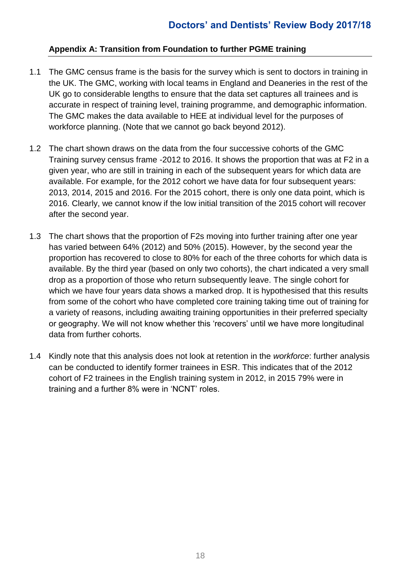## **Appendix A: Transition from Foundation to further PGME training**

- 1.1 The GMC census frame is the basis for the survey which is sent to doctors in training in the UK. The GMC, working with local teams in England and Deaneries in the rest of the UK go to considerable lengths to ensure that the data set captures all trainees and is accurate in respect of training level, training programme, and demographic information. The GMC makes the data available to HEE at individual level for the purposes of workforce planning. (Note that we cannot go back beyond 2012).
- 1.2 The chart shown draws on the data from the four successive cohorts of the GMC Training survey census frame -2012 to 2016. It shows the proportion that was at F2 in a given year, who are still in training in each of the subsequent years for which data are available. For example, for the 2012 cohort we have data for four subsequent years: 2013, 2014, 2015 and 2016. For the 2015 cohort, there is only one data point, which is 2016. Clearly, we cannot know if the low initial transition of the 2015 cohort will recover after the second year.
- 1.3 The chart shows that the proportion of F2s moving into further training after one year has varied between 64% (2012) and 50% (2015). However, by the second year the proportion has recovered to close to 80% for each of the three cohorts for which data is available. By the third year (based on only two cohorts), the chart indicated a very small drop as a proportion of those who return subsequently leave. The single cohort for which we have four years data shows a marked drop. It is hypothesised that this results from some of the cohort who have completed core training taking time out of training for a variety of reasons, including awaiting training opportunities in their preferred specialty or geography. We will not know whether this 'recovers' until we have more longitudinal data from further cohorts.
- 1.4 Kindly note that this analysis does not look at retention in the *workforce*: further analysis can be conducted to identify former trainees in ESR. This indicates that of the 2012 cohort of F2 trainees in the English training system in 2012, in 2015 79% were in training and a further 8% were in 'NCNT' roles.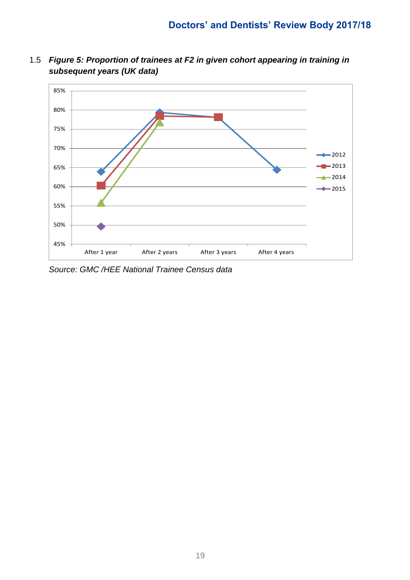1.5 *Figure 5: Proportion of trainees at F2 in given cohort appearing in training in subsequent years (UK data)* 



*Source: GMC /HEE National Trainee Census data*